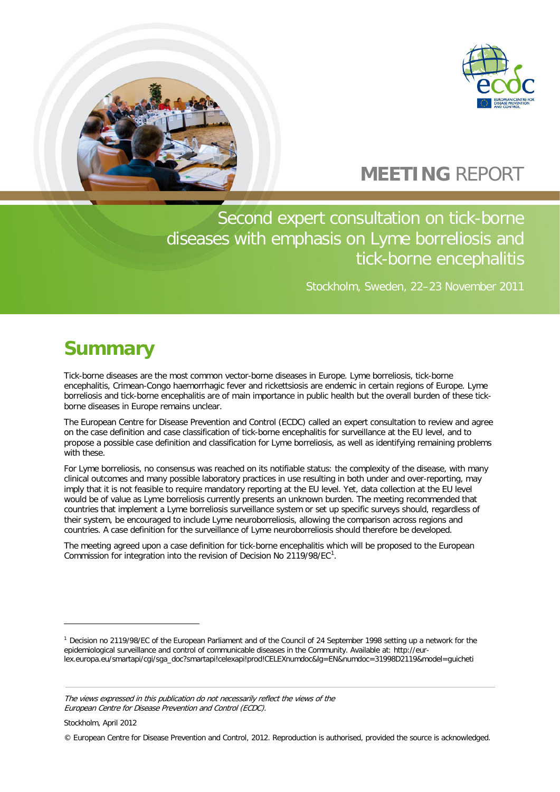



## **MEETING** REPORT

Second expert consultation on tick-borne diseases with emphasis on Lyme borreliosis and tick-borne encephalitis

Stockholm, Sweden, 22–23 November 2011

# **Summary**

Tick-borne diseases are the most common vector-borne diseases in Europe. Lyme borreliosis, tick-borne encephalitis, Crimean-Congo haemorrhagic fever and rickettsiosis are endemic in certain regions of Europe. Lyme borreliosis and tick-borne encephalitis are of main importance in public health but the overall burden of these tickborne diseases in Europe remains unclear.

The European Centre for Disease Prevention and Control (ECDC) called an expert consultation to review and agree on the case definition and case classification of tick-borne encephalitis for surveillance at the EU level, and to propose a possible case definition and classification for Lyme borreliosis, as well as identifying remaining problems with these.

For Lyme borreliosis, no consensus was reached on its notifiable status: the complexity of the disease, with many clinical outcomes and many possible laboratory practices in use resulting in both under and over-reporting, may imply that it is not feasible to require mandatory reporting at the EU level. Yet, data collection at the EU level would be of value as Lyme borreliosis currently presents an unknown burden. The meeting recommended that countries that implement a Lyme borreliosis surveillance system or set up specific surveys should, regardless of their system, be encouraged to include Lyme neuroborreliosis, allowing the comparison across regions and countries. A case definition for the surveillance of Lyme neuroborreliosis should therefore be developed.

The meeting agreed upon a case definition for tick-borne encephalitis which will be proposed to the European Commission for integration into the revision of Decision No 2[1](#page-0-0)19/98/EC<sup>1</sup>.

<span id="page-0-1"></span>The views expressed in this publication do not necessarily reflect the views of the European Centre for Disease Prevention and Control (ECDC).

Stockholm, April 2012

j

© European Centre for Disease Prevention and Control, 2012. Reproduction is authorised, provided the source is acknowledged.

<span id="page-0-0"></span><sup>1</sup> Decision no 2119/98/EC of the European Parliament and of the Council of 24 September 1998 setting up a network for the epidemiological surveillance and control of communicable diseases in the Community. Available at: http://eurlex.europa.eu/smartapi/cgi/sga\_doc?smartapi!celexapi!prod!CELEXnumdoc&lg=EN&numdoc=31998D2119&model=guicheti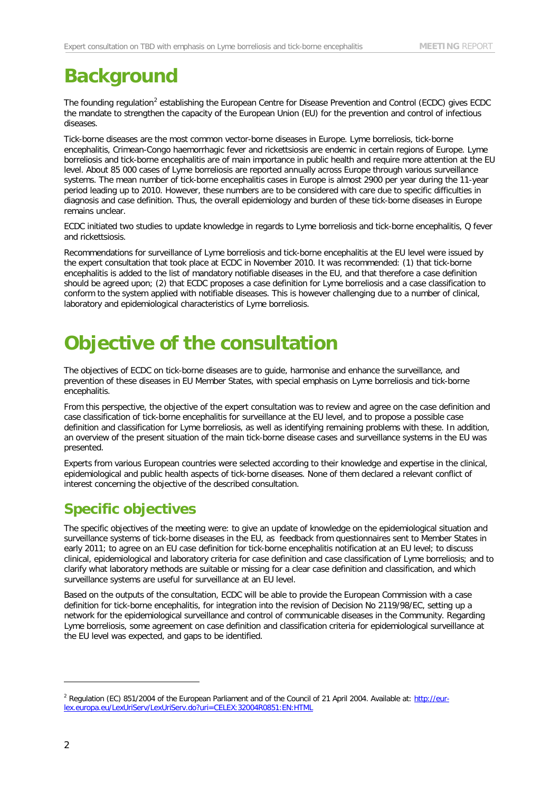## **Background**

The founding regulation<sup>[2](#page-0-1)</sup> establishing the European Centre for Disease Prevention and Control (ECDC) gives ECDC the mandate to strengthen the capacity of the European Union (EU) for the prevention and control of infectious diseases.

Tick-borne diseases are the most common vector-borne diseases in Europe. Lyme borreliosis, tick-borne encephalitis, Crimean-Congo haemorrhagic fever and rickettsiosis are endemic in certain regions of Europe. Lyme borreliosis and tick-borne encephalitis are of main importance in public health and require more attention at the EU level. About 85 000 cases of Lyme borreliosis are reported annually across Europe through various surveillance systems. The mean number of tick-borne encephalitis cases in Europe is almost 2900 per year during the 11-year period leading up to 2010. However, these numbers are to be considered with care due to specific difficulties in diagnosis and case definition. Thus, the overall epidemiology and burden of these tick-borne diseases in Europe remains unclear.

ECDC initiated two studies to update knowledge in regards to Lyme borreliosis and tick-borne encephalitis, Q fever and rickettsiosis.

Recommendations for surveillance of Lyme borreliosis and tick-borne encephalitis at the EU level were issued by the expert consultation that took place at ECDC in November 2010. It was recommended: (1) that tick-borne encephalitis is added to the list of mandatory notifiable diseases in the EU, and that therefore a case definition should be agreed upon; (2) that ECDC proposes a case definition for Lyme borreliosis and a case classification to conform to the system applied with notifiable diseases. This is however challenging due to a number of clinical, laboratory and epidemiological characteristics of Lyme borreliosis.

## **Objective of the consultation**

The objectives of ECDC on tick-borne diseases are to guide, harmonise and enhance the surveillance, and prevention of these diseases in EU Member States, with special emphasis on Lyme borreliosis and tick-borne encephalitis.

From this perspective, the objective of the expert consultation was to review and agree on the case definition and case classification of tick-borne encephalitis for surveillance at the EU level, and to propose a possible case definition and classification for Lyme borreliosis, as well as identifying remaining problems with these. In addition, an overview of the present situation of the main tick-borne disease cases and surveillance systems in the EU was presented.

Experts from various European countries were selected according to their knowledge and expertise in the clinical, epidemiological and public health aspects of tick-borne diseases. None of them declared a relevant conflict of interest concerning the objective of the described consultation.

## **Specific objectives**

The specific objectives of the meeting were: to give an update of knowledge on the epidemiological situation and surveillance systems of tick-borne diseases in the EU, as feedback from questionnaires sent to Member States in early 2011; to agree on an EU case definition for tick-borne encephalitis notification at an EU level; to discuss clinical, epidemiological and laboratory criteria for case definition and case classification of Lyme borreliosis; and to clarify what laboratory methods are suitable or missing for a clear case definition and classification, and which surveillance systems are useful for surveillance at an EU level.

<span id="page-1-0"></span>Based on the outputs of the consultation, ECDC will be able to provide the European Commission with a case definition for tick-borne encephalitis, for integration into the revision of Decision No 2119/98/EC, setting up a network for the epidemiological surveillance and control of communicable diseases in the Community. Regarding Lyme borreliosis, some agreement on case definition and classification criteria for epidemiological surveillance at the EU level was expected, and gaps to be identified.

j

<sup>&</sup>lt;sup>2</sup> Regulation (EC) 851/2004 of the European Parliament and of the Council of 21 April 2004. Available at: [http://eur](http://eur-lex.europa.eu/LexUriServ/LexUriServ.do?uri=CELEX:32004R0851:EN:HTML)[lex.europa.eu/LexUriServ/LexUriServ.do?uri=CELEX:32004R0851:EN:HTML](http://eur-lex.europa.eu/LexUriServ/LexUriServ.do?uri=CELEX:32004R0851:EN:HTML)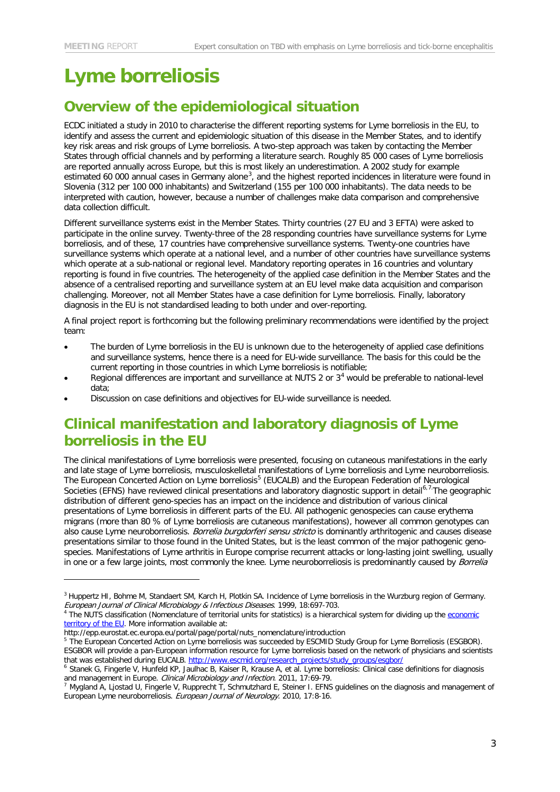j

# **Lyme borreliosis**

## **Overview of the epidemiological situation**

ECDC initiated a study in 2010 to characterise the different reporting systems for Lyme borreliosis in the EU, to identify and assess the current and epidemiologic situation of this disease in the Member States, and to identify key risk areas and risk groups of Lyme borreliosis. A two-step approach was taken by contacting the Member States through official channels and by performing a literature search. Roughly 85 000 cases of Lyme borreliosis are reported annually across Europe, but this is most likely an underestimation. A 2002 study for example estimated 60 000 annual cases in Germany alone<sup>[3](#page-1-0)</sup>, and the highest reported incidences in literature were found in Slovenia (312 per 100 000 inhabitants) and Switzerland (155 per 100 000 inhabitants). The data needs to be interpreted with caution, however, because a number of challenges make data comparison and comprehensive data collection difficult.

Different surveillance systems exist in the Member States. Thirty countries (27 EU and 3 EFTA) were asked to participate in the online survey. Twenty-three of the 28 responding countries have surveillance systems for Lyme borreliosis, and of these, 17 countries have comprehensive surveillance systems. Twenty-one countries have surveillance systems which operate at a national level, and a number of other countries have surveillance systems which operate at a sub-national or regional level. Mandatory reporting operates in 16 countries and voluntary reporting is found in five countries. The heterogeneity of the applied case definition in the Member States and the absence of a centralised reporting and surveillance system at an EU level make data acquisition and comparison challenging. Moreover, not all Member States have a case definition for Lyme borreliosis. Finally, laboratory diagnosis in the EU is not standardised leading to both under and over-reporting.

A final project report is forthcoming but the following preliminary recommendations were identified by the project team:

- The burden of Lyme borreliosis in the EU is unknown due to the heterogeneity of applied case definitions and surveillance systems, hence there is a need for EU-wide surveillance. The basis for this could be the current reporting in those countries in which Lyme borreliosis is notifiable;
- Regional differences are important and surveillance at NUTS 2 or 3<sup>[4](#page-2-0)</sup> would be preferable to national-level data;
- Discussion on case definitions and objectives for EU-wide surveillance is needed.

### **Clinical manifestation and laboratory diagnosis of Lyme borreliosis in the EU**

The clinical manifestations of Lyme borreliosis were presented, focusing on cutaneous manifestations in the early and late stage of Lyme borreliosis, musculoskelletal manifestations of Lyme borreliosis and Lyme neuroborreliosis. The European Concerted Action on Lyme borreliosis<sup>[5](#page-2-1)</sup> (EUCALB) and the European Federation of Neurological Societies (EFNS) have reviewed clinical presentations and laboratory diagnostic support in detail<sup>[6,](#page-2-2)[7.](#page-2-3)</sup>The geographic distribution of different geno-species has an impact on the incidence and distribution of various clinical presentations of Lyme borreliosis in different parts of the EU. All pathogenic genospecies can cause erythema migrans (more than 80 % of Lyme borreliosis are cutaneous manifestations), however all common genotypes can also cause Lyme neuroborreliosis. Borrelia burgdorferi sensu stricto is dominantly arthritogenic and causes disease presentations similar to those found in the United States, but is the least common of the major pathogenic genospecies. Manifestations of Lyme arthritis in Europe comprise recurrent attacks or long-lasting joint swelling, usually in one or a few large joints, most commonly the knee. Lyme neuroborreliosis is predominantly caused by *Borrelia* 

<sup>&</sup>lt;sup>3</sup> Huppertz HI, Bohme M, Standaert SM, Karch H, Plotkin SA. Incidence of Lyme borreliosis in the Wurzburg region of Germany. European Journal of Clinical Microbiology & Infectious Diseases. 1999, 18:697-703.

<span id="page-2-0"></span><sup>&</sup>lt;sup>4</sup> The NUTS classification (Nomenclature of territorial units for statistics) is a hierarchical system for dividing up the economic [territory of the EU.](http://epp.eurostat.ec.europa.eu/statistics_explained/index.php/Glossary:Economic_territory) More information available at:

http://epp.eurostat.ec.europa.eu/portal/page/portal/nuts\_nomenclature/introduction

<span id="page-2-1"></span><sup>&</sup>lt;sup>5</sup> The European Concerted Action on Lyme borreliosis was succeeded by ESCMID Study Group for Lyme Borreliosis (ESGBOR). ESGBOR will provide a pan-European information resource for Lyme borreliosis based on the network of physicians and scientists that was established during EUCALB[. http://www.escmid.org/research\\_projects/study\\_groups/esgbor/](http://www.escmid.org/research_projects/study_groups/esgbor/)

<span id="page-2-2"></span><sup>6</sup> Stanek G, Fingerle V, Hunfeld KP, Jaulhac B, Kaiser R, Krause A, et al. Lyme borreliosis: Clinical case definitions for diagnosis and management in Europe. Clinical Microbiology and Infection. 2011, 17:69-79.

<span id="page-2-4"></span><span id="page-2-3"></span> $^7$  Mygland A, Ljostad U, Fingerle V, Rupprecht  $\tilde{I}$ , Schmutzhard E, Steiner I. EFNS guidelines on the diagnosis and management of European Lyme neuroborreliosis. European Journal of Neurology. 2010, 17:8-16.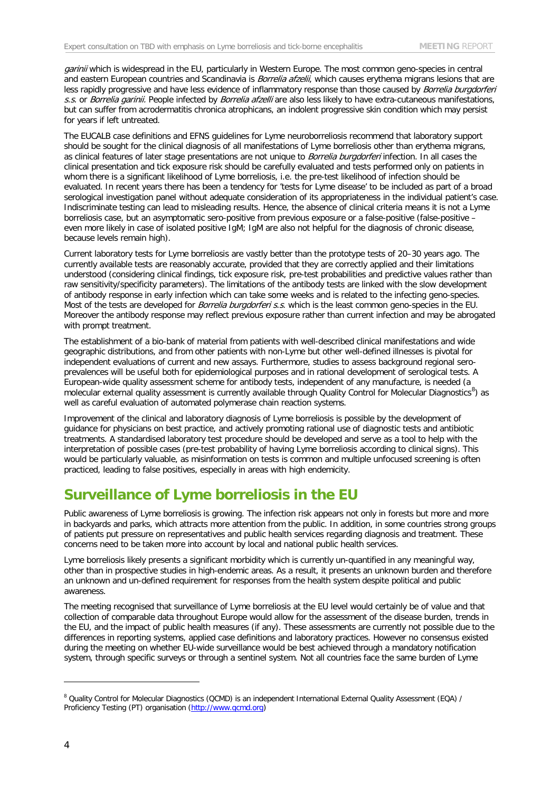garinii which is widespread in the EU, particularly in Western Europe. The most common geno-species in central and eastern European countries and Scandinavia is *Borrelia afzelii*, which causes erythema migrans lesions that are less rapidly progressive and have less evidence of inflammatory response than those caused by *Borrelia burgdorferi* s.s. or Borrelia garinii. People infected by Borrelia afzelli are also less likely to have extra-cutaneous manifestations, but can suffer from acrodermatitis chronica atrophicans, an indolent progressive skin condition which may persist for years if left untreated.

The EUCALB case definitions and EFNS guidelines for Lyme neuroborreliosis recommend that laboratory support should be sought for the clinical diagnosis of all manifestations of Lyme borreliosis other than erythema migrans, as clinical features of later stage presentations are not unique to *Borrelia burgdorferi* infection. In all cases the clinical presentation and tick exposure risk should be carefully evaluated and tests performed only on patients in whom there is a significant likelihood of Lyme borreliosis, i.e. the pre-test likelihood of infection should be evaluated. In recent years there has been a tendency for 'tests for Lyme disease' to be included as part of a broad serological investigation panel without adequate consideration of its appropriateness in the individual patient's case. Indiscriminate testing can lead to misleading results. Hence, the absence of clinical criteria means it is not a Lyme borreliosis case, but an asymptomatic sero-positive from previous exposure or a false-positive (false-positive – even more likely in case of isolated positive IgM; IgM are also not helpful for the diagnosis of chronic disease, because levels remain high).

Current laboratory tests for Lyme borreliosis are vastly better than the prototype tests of 20–30 years ago. The currently available tests are reasonably accurate, provided that they are correctly applied and their limitations understood (considering clinical findings, tick exposure risk, pre-test probabilities and predictive values rather than raw sensitivity/specificity parameters). The limitations of the antibody tests are linked with the slow development of antibody response in early infection which can take some weeks and is related to the infecting geno-species. Most of the tests are developed for *Borrelia burgdorferi s.s.* which is the least common geno-species in the EU. Moreover the antibody response may reflect previous exposure rather than current infection and may be abrogated with prompt treatment.

The establishment of a bio-bank of material from patients with well-described clinical manifestations and wide geographic distributions, and from other patients with non-Lyme but other well-defined illnesses is pivotal for independent evaluations of current and new assays. Furthermore, studies to assess background regional seroprevalences will be useful both for epidemiological purposes and in rational development of serological tests. A European-wide quality assessment scheme for antibody tests, independent of any manufacture, is needed (a molecular external quality assessment is currently available through Quality Control for Molecular Diagnostics<sup>[8](#page-2-4)</sup>) as well as careful evaluation of automated polymerase chain reaction systems.

Improvement of the clinical and laboratory diagnosis of Lyme borreliosis is possible by the development of guidance for physicians on best practice, and actively promoting rational use of diagnostic tests and antibiotic treatments. A standardised laboratory test procedure should be developed and serve as a tool to help with the interpretation of possible cases (pre-test probability of having Lyme borreliosis according to clinical signs). This would be particularly valuable, as misinformation on tests is common and multiple unfocused screening is often practiced, leading to false positives, especially in areas with high endemicity.

### **Surveillance of Lyme borreliosis in the EU**

Public awareness of Lyme borreliosis is growing. The infection risk appears not only in forests but more and more in backyards and parks, which attracts more attention from the public. In addition, in some countries strong groups of patients put pressure on representatives and public health services regarding diagnosis and treatment. These concerns need to be taken more into account by local and national public health services.

Lyme borreliosis likely presents a significant morbidity which is currently un-quantified in any meaningful way, other than in prospective studies in high-endemic areas. As a result, it presents an unknown burden and therefore an unknown and un-defined requirement for responses from the health system despite political and public awareness.

The meeting recognised that surveillance of Lyme borreliosis at the EU level would certainly be of value and that collection of comparable data throughout Europe would allow for the assessment of the disease burden, trends in the EU, and the impact of public health measures (if any). These assessments are currently not possible due to the differences in reporting systems, applied case definitions and laboratory practices. However no consensus existed during the meeting on whether EU-wide surveillance would be best achieved through a mandatory notification system, through specific surveys or through a sentinel system. Not all countries face the same burden of Lyme

j

<sup>&</sup>lt;sup>8</sup> Quality Control for Molecular Diagnostics (QCMD) is an independent International External Quality Assessment (EQA) / Proficiency Testing (PT) organisation [\(http://www.qcmd.org\)](http://www.qcmd.org/)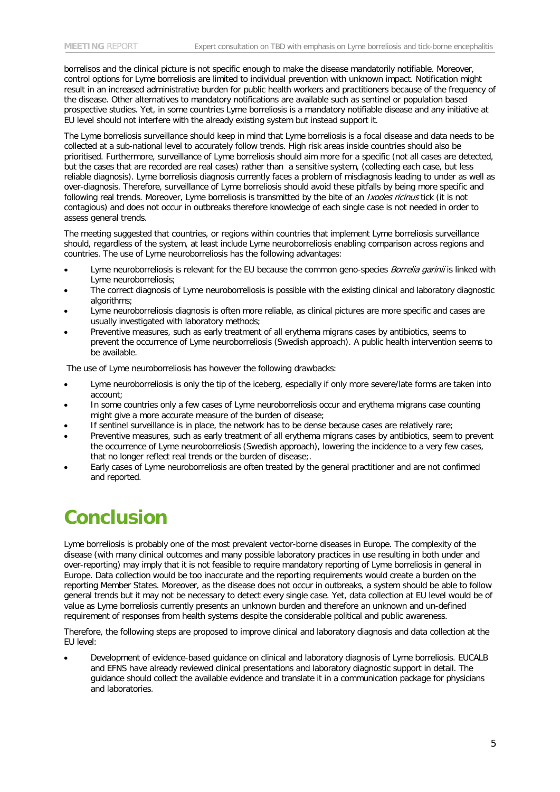borrelisos and the clinical picture is not specific enough to make the disease mandatorily notifiable. Moreover, control options for Lyme borreliosis are limited to individual prevention with unknown impact. Notification might result in an increased administrative burden for public health workers and practitioners because of the frequency of the disease. Other alternatives to mandatory notifications are available such as sentinel or population based prospective studies. Yet, in some countries Lyme borreliosis is a mandatory notifiable disease and any initiative at EU level should not interfere with the already existing system but instead support it.

The Lyme borreliosis surveillance should keep in mind that Lyme borreliosis is a focal disease and data needs to be collected at a sub-national level to accurately follow trends. High risk areas inside countries should also be prioritised. Furthermore, surveillance of Lyme borreliosis should aim more for a specific (not all cases are detected, but the cases that are recorded are real cases) rather than a sensitive system, (collecting each case, but less reliable diagnosis). Lyme borreliosis diagnosis currently faces a problem of misdiagnosis leading to under as well as over-diagnosis. Therefore, surveillance of Lyme borreliosis should avoid these pitfalls by being more specific and following real trends. Moreover, Lyme borreliosis is transmitted by the bite of an Ixodes ricinus tick (it is not contagious) and does not occur in outbreaks therefore knowledge of each single case is not needed in order to assess general trends.

The meeting suggested that countries, or regions within countries that implement Lyme borreliosis surveillance should, regardless of the system, at least include Lyme neuroborreliosis enabling comparison across regions and countries. The use of Lyme neuroborreliosis has the following advantages:

- Lyme neuroborreliosis is relevant for the EU because the common geno-species *Borrelia garinii* is linked with Lyme neuroborreliosis;
- The correct diagnosis of Lyme neuroborreliosis is possible with the existing clinical and laboratory diagnostic algorithms;
- Lyme neuroborreliosis diagnosis is often more reliable, as clinical pictures are more specific and cases are usually investigated with laboratory methods;
- Preventive measures, such as early treatment of all erythema migrans cases by antibiotics, seems to prevent the occurrence of Lyme neuroborreliosis (Swedish approach). A public health intervention seems to be available.

The use of Lyme neuroborreliosis has however the following drawbacks:

- Lyme neuroborreliosis is only the tip of the iceberg, especially if only more severe/late forms are taken into account;
- In some countries only a few cases of Lyme neuroborreliosis occur and erythema migrans case counting might give a more accurate measure of the burden of disease;
- If sentinel surveillance is in place, the network has to be dense because cases are relatively rare;
- Preventive measures, such as early treatment of all erythema migrans cases by antibiotics, seem to prevent the occurrence of Lyme neuroborreliosis (Swedish approach), lowering the incidence to a very few cases, that no longer reflect real trends or the burden of disease;.
- Early cases of Lyme neuroborreliosis are often treated by the general practitioner and are not confirmed and reported.

## **Conclusion**

Lyme borreliosis is probably one of the most prevalent vector-borne diseases in Europe. The complexity of the disease (with many clinical outcomes and many possible laboratory practices in use resulting in both under and over-reporting) may imply that it is not feasible to require mandatory reporting of Lyme borreliosis in general in Europe. Data collection would be too inaccurate and the reporting requirements would create a burden on the reporting Member States. Moreover, as the disease does not occur in outbreaks, a system should be able to follow general trends but it may not be necessary to detect every single case. Yet, data collection at EU level would be of value as Lyme borreliosis currently presents an unknown burden and therefore an unknown and un-defined requirement of responses from health systems despite the considerable political and public awareness.

Therefore, the following steps are proposed to improve clinical and laboratory diagnosis and data collection at the EU level:

• Development of evidence-based guidance on clinical and laboratory diagnosis of Lyme borreliosis. EUCALB and EFNS have already reviewed clinical presentations and laboratory diagnostic support in detail. The guidance should collect the available evidence and translate it in a communication package for physicians and laboratories.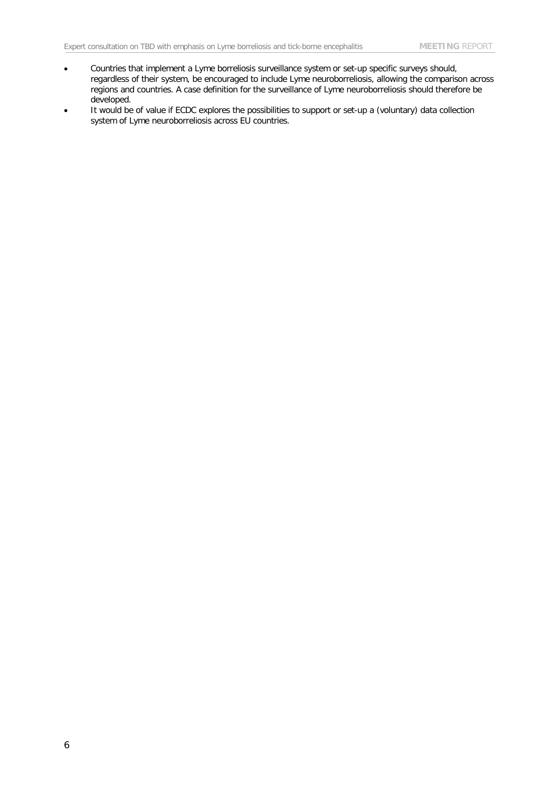- Countries that implement a Lyme borreliosis surveillance system or set-up specific surveys should, regardless of their system, be encouraged to include Lyme neuroborreliosis, allowing the comparison across regions and countries. A case definition for the surveillance of Lyme neuroborreliosis should therefore be developed.
- It would be of value if ECDC explores the possibilities to support or set-up a (voluntary) data collection system of Lyme neuroborreliosis across EU countries.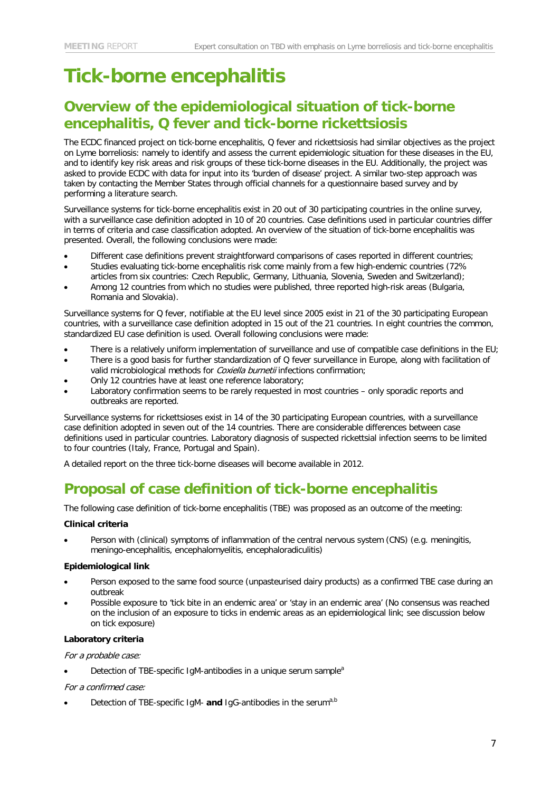# **Tick-borne encephalitis**

## **Overview of the epidemiological situation of tick-borne encephalitis, Q fever and tick-borne rickettsiosis**

The ECDC financed project on tick-borne encephalitis, Q fever and rickettsiosis had similar objectives as the project on Lyme borreliosis: namely to identify and assess the current epidemiologic situation for these diseases in the EU, and to identify key risk areas and risk groups of these tick-borne diseases in the EU. Additionally, the project was asked to provide ECDC with data for input into its 'burden of disease' project. A similar two-step approach was taken by contacting the Member States through official channels for a questionnaire based survey and by performing a literature search.

Surveillance systems for tick-borne encephalitis exist in 20 out of 30 participating countries in the online survey, with a surveillance case definition adopted in 10 of 20 countries. Case definitions used in particular countries differ in terms of criteria and case classification adopted. An overview of the situation of tick-borne encephalitis was presented. Overall, the following conclusions were made:

- Different case definitions prevent straightforward comparisons of cases reported in different countries;
- Studies evaluating tick-borne encephalitis risk come mainly from a few high-endemic countries (72% articles from six countries: Czech Republic, Germany, Lithuania, Slovenia, Sweden and Switzerland);
- Among 12 countries from which no studies were published, three reported high-risk areas (Bulgaria, Romania and Slovakia).

Surveillance systems for Q fever, notifiable at the EU level since 2005 exist in 21 of the 30 participating European countries, with a surveillance case definition adopted in 15 out of the 21 countries. In eight countries the common, standardized EU case definition is used. Overall following conclusions were made:

- There is a relatively uniform implementation of surveillance and use of compatible case definitions in the EU;
- There is a good basis for further standardization of Q fever surveillance in Europe, along with facilitation of valid microbiological methods for *Coxiella burnetii* infections confirmation;
- Only 12 countries have at least one reference laboratory;
- Laboratory confirmation seems to be rarely requested in most countries only sporadic reports and outbreaks are reported.

Surveillance systems for rickettsioses exist in 14 of the 30 participating European countries, with a surveillance case definition adopted in seven out of the 14 countries. There are considerable differences between case definitions used in particular countries. Laboratory diagnosis of suspected rickettsial infection seems to be limited to four countries (Italy, France, Portugal and Spain).

A detailed report on the three tick-borne diseases will become available in 2012.

### **Proposal of case definition of tick-borne encephalitis**

The following case definition of tick-borne encephalitis (TBE) was proposed as an outcome of the meeting:

#### **Clinical criteria**

• Person with (clinical) symptoms of inflammation of the central nervous system (CNS) (e.g. meningitis, meningo-encephalitis, encephalomyelitis, encephaloradiculitis)

#### **Epidemiological link**

- Person exposed to the same food source (unpasteurised dairy products) as a confirmed TBE case during an outbreak
- Possible exposure to 'tick bite in an endemic area' or 'stay in an endemic area' (No consensus was reached on the inclusion of an exposure to ticks in endemic areas as an epidemiological link; see discussion below on tick exposure)

#### **Laboratory criteria**

For a probable case:

Detection of TBE-specific IgM-antibodies in a unique serum sample<sup>a</sup>

#### For a confirmed case:

Detection of TBE-specific IgM- and IgG-antibodies in the serum<sup>a,b</sup>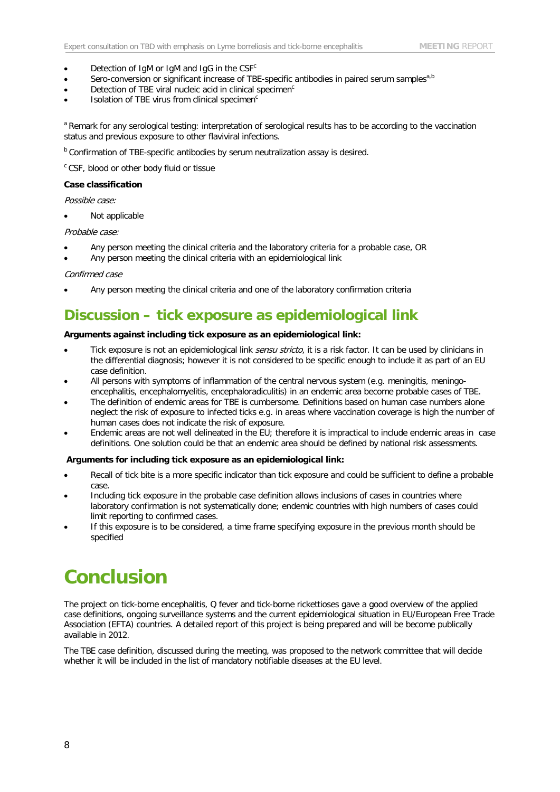- Detection of IgM or IgM and IgG in the  $CSF<sup>c</sup>$
- Sero-conversion or significant increase of TBE-specific antibodies in paired serum samples<sup>a,b</sup>
- Detection of TBE viral nucleic acid in clinical specimen<sup>c</sup>
- Isolation of TBE virus from clinical specimen $<sup>c</sup>$ </sup>

a Remark for any serological testing: interpretation of serological results has to be according to the vaccination status and previous exposure to other flaviviral infections.

**b** Confirmation of TBE-specific antibodies by serum neutralization assay is desired.

<sup>c</sup> CSF, blood or other body fluid or tissue

#### **Case classification**

Possible case:

Not applicable

#### Probable case:

- Any person meeting the clinical criteria and the laboratory criteria for a probable case, OR
- Any person meeting the clinical criteria with an epidemiological link

#### Confirmed case

• Any person meeting the clinical criteria and one of the laboratory confirmation criteria

### **Discussion – tick exposure as epidemiological link**

#### **Arguments against including tick exposure as an epidemiological link:**

- Tick exposure is not an epidemiological link sensu stricto, it is a risk factor. It can be used by clinicians in the differential diagnosis; however it is not considered to be specific enough to include it as part of an EU case definition.
- All persons with symptoms of inflammation of the central nervous system (e.g. meningitis, meningoencephalitis, encephalomyelitis, encephaloradiculitis) in an endemic area become probable cases of TBE.
- The definition of endemic areas for TBE is cumbersome. Definitions based on human case numbers alone neglect the risk of exposure to infected ticks e.g. in areas where vaccination coverage is high the number of human cases does not indicate the risk of exposure.
- Endemic areas are not well delineated in the EU; therefore it is impractical to include endemic areas in case definitions. One solution could be that an endemic area should be defined by national risk assessments.

#### **Arguments for including tick exposure as an epidemiological link:**

- Recall of tick bite is a more specific indicator than tick exposure and could be sufficient to define a probable case.
- Including tick exposure in the probable case definition allows inclusions of cases in countries where laboratory confirmation is not systematically done; endemic countries with high numbers of cases could limit reporting to confirmed cases.
- If this exposure is to be considered, a time frame specifying exposure in the previous month should be specified

## **Conclusion**

The project on tick-borne encephalitis, Q fever and tick-borne rickettioses gave a good overview of the applied case definitions, ongoing surveillance systems and the current epidemiological situation in EU/European Free Trade Association (EFTA) countries. A detailed report of this project is being prepared and will be become publically available in 2012.

The TBE case definition, discussed during the meeting, was proposed to the network committee that will decide whether it will be included in the list of mandatory notifiable diseases at the EU level.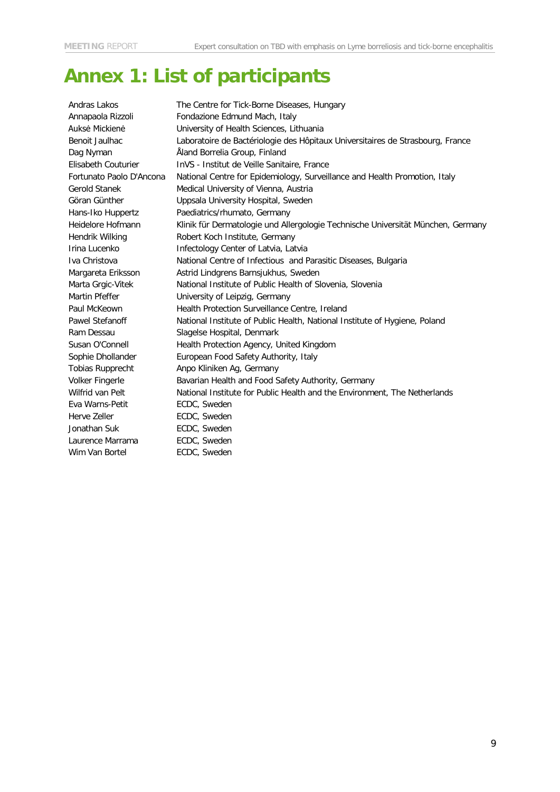# **Annex 1: List of participants**

| Andras Lakos             | The Centre for Tick-Borne Diseases, Hungary                                      |
|--------------------------|----------------------------------------------------------------------------------|
| Annapaola Rizzoli        | Fondazione Edmund Mach, Italy                                                    |
| Auksė Mickienė           | University of Health Sciences, Lithuania                                         |
| Benoit Jaulhac           | Laboratoire de Bactériologie des Hôpitaux Universitaires de Strasbourg, France   |
| Dag Nyman                | Åland Borrelia Group, Finland                                                    |
| Elisabeth Couturier      | InVS - Institut de Veille Sanitaire, France                                      |
| Fortunato Paolo D'Ancona | National Centre for Epidemiology, Surveillance and Health Promotion, Italy       |
| <b>Gerold Stanek</b>     | Medical University of Vienna, Austria                                            |
| Göran Günther            | Uppsala University Hospital, Sweden                                              |
| Hans-Iko Huppertz        | Paediatrics/rhumato, Germany                                                     |
| Heidelore Hofmann        | Klinik für Dermatologie und Allergologie Technische Universität München, Germany |
| Hendrik Wilking          | Robert Koch Institute, Germany                                                   |
| Irina Lucenko            | Infectology Center of Latvia, Latvia                                             |
| Iva Christova            | National Centre of Infectious and Parasitic Diseases, Bulgaria                   |
| Margareta Eriksson       | Astrid Lindgrens Barnsjukhus, Sweden                                             |
| Marta Grgic-Vitek        | National Institute of Public Health of Slovenia, Slovenia                        |
| Martin Pfeffer           | University of Leipzig, Germany                                                   |
| Paul McKeown             | Health Protection Surveillance Centre, Ireland                                   |
| Pawel Stefanoff          | National Institute of Public Health, National Institute of Hygiene, Poland       |
| Ram Dessau               | Slagelse Hospital, Denmark                                                       |
| Susan O'Connell          | Health Protection Agency, United Kingdom                                         |
| Sophie Dhollander        | European Food Safety Authority, Italy                                            |
| <b>Tobias Rupprecht</b>  | Anpo Kliniken Ag, Germany                                                        |
| Volker Fingerle          | Bavarian Health and Food Safety Authority, Germany                               |
| Wilfrid van Pelt         | National Institute for Public Health and the Environment, The Netherlands        |
| Eva Warns-Petit          | ECDC, Sweden                                                                     |
| Herve Zeller             | ECDC, Sweden                                                                     |
| Jonathan Suk             | ECDC, Sweden                                                                     |
| Laurence Marrama         | ECDC, Sweden                                                                     |
| Wim Van Bortel           | ECDC, Sweden                                                                     |
|                          |                                                                                  |